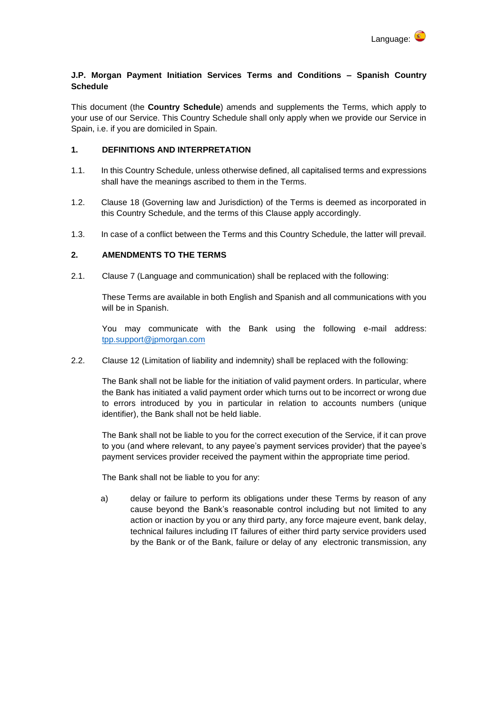

## **J.P. Morgan Payment Initiation Services Terms and Conditions – Spanish Country Schedule**

This document (the **Country Schedule**) amends and supplements the Terms, which apply to your use of our Service. This Country Schedule shall only apply when we provide our Service in Spain, i.e. if you are domiciled in Spain.

## **1. DEFINITIONS AND INTERPRETATION**

- 1.1. In this Country Schedule, unless otherwise defined, all capitalised terms and expressions shall have the meanings ascribed to them in the Terms.
- 1.2. Clause 18 (Governing law and Jurisdiction) of the Terms is deemed as incorporated in this Country Schedule, and the terms of this Clause apply accordingly.
- 1.3. In case of a conflict between the Terms and this Country Schedule, the latter will prevail.

## **2. AMENDMENTS TO THE TERMS**

2.1. Clause 7 (Language and communication) shall be replaced with the following:

These Terms are available in both English and Spanish and all communications with you will be in Spanish.

You may communicate with the Bank using the following e-mail address: [tpp.support@jpmorgan.com](mailto:tpp.support@jpmorgan.com)

2.2. Clause 12 (Limitation of liability and indemnity) shall be replaced with the following:

The Bank shall not be liable for the initiation of valid payment orders. In particular, where the Bank has initiated a valid payment order which turns out to be incorrect or wrong due to errors introduced by you in particular in relation to accounts numbers (unique identifier), the Bank shall not be held liable.

The Bank shall not be liable to you for the correct execution of the Service, if it can prove to you (and where relevant, to any payee's payment services provider) that the payee's payment services provider received the payment within the appropriate time period.

The Bank shall not be liable to you for any:

a) delay or failure to perform its obligations under these Terms by reason of any cause beyond the Bank's reasonable control including but not limited to any action or inaction by you or any third party, any force majeure event, bank delay, technical failures including IT failures of either third party service providers used by the Bank or of the Bank, failure or delay of any electronic transmission, any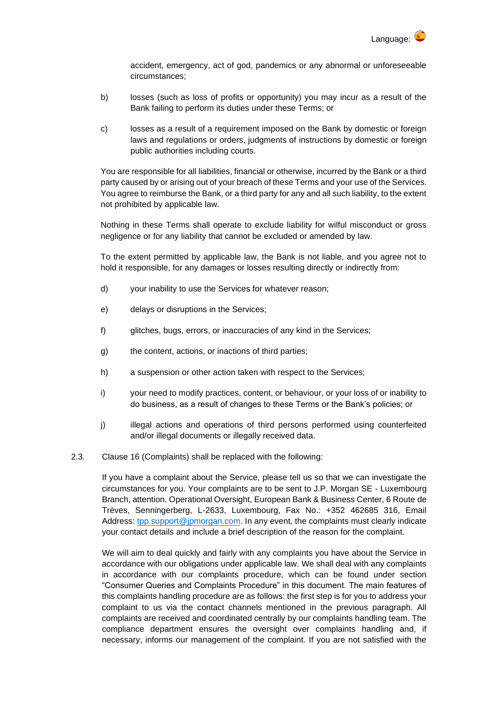

accident, emergency, act of god, pandemics or any abnormal or unforeseeable circumstances;

- b) losses (such as loss of profits or opportunity) you may incur as a result of the Bank failing to perform its duties under these Terms; or
- c) losses as a result of a requirement imposed on the Bank by domestic or foreign laws and regulations or orders, judgments of instructions by domestic or foreign public authorities including courts.

You are responsible for all liabilities, financial or otherwise, incurred by the Bank or a third party caused by or arising out of your breach of these Terms and your use of the Services. You agree to reimburse the Bank, or a third party for any and all such liability, to the extent not prohibited by applicable law.

Nothing in these Terms shall operate to exclude liability for wilful misconduct or gross negligence or for any liability that cannot be excluded or amended by law.

To the extent permitted by applicable law, the Bank is not liable, and you agree not to hold it responsible, for any damages or losses resulting directly or indirectly from:

- d) your inability to use the Services for whatever reason;
- e) delays or disruptions in the Services;
- f) glitches, bugs, errors, or inaccuracies of any kind in the Services;
- g) the content, actions, or inactions of third parties;
- h) a suspension or other action taken with respect to the Services;
- i) your need to modify practices, content, or behaviour, or your loss of or inability to do business, as a result of changes to these Terms or the Bank's policies; or
- j) illegal actions and operations of third persons performed using counterfeited and/or illegal documents or illegally received data.
- 2.3. Clause 16 (Complaints) shall be replaced with the following:

If you have a complaint about the Service, please tell us so that we can investigate the circumstances for you. Your complaints are to be sent to J.P. Morgan SE - Luxembourg Branch, attention. Operational Oversight, European Bank & Business Center, 6 Route de Trèves, Senningerberg, L-2633, Luxembourg, Fax No.: +352 462685 316, Email Address: [tpp.support@jpmorgan.com.](mailto:tpp.support@jpmorgan.com) In any event, the complaints must clearly indicate your contact details and include a brief description of the reason for the complaint.

We will aim to deal quickly and fairly with any complaints you have about the Service in accordance with our obligations under applicable law. We shall deal with any complaints in accordance with our complaints procedure, which can be found under section "Consumer Queries and Complaints Procedure" in this document. The main features of this complaints handling procedure are as follows: the first step is for you to address your complaint to us via the contact channels mentioned in the previous paragraph. All complaints are received and coordinated centrally by our complaints handling team. The compliance department ensures the oversight over complaints handling and, if necessary, informs our management of the complaint. If you are not satisfied with the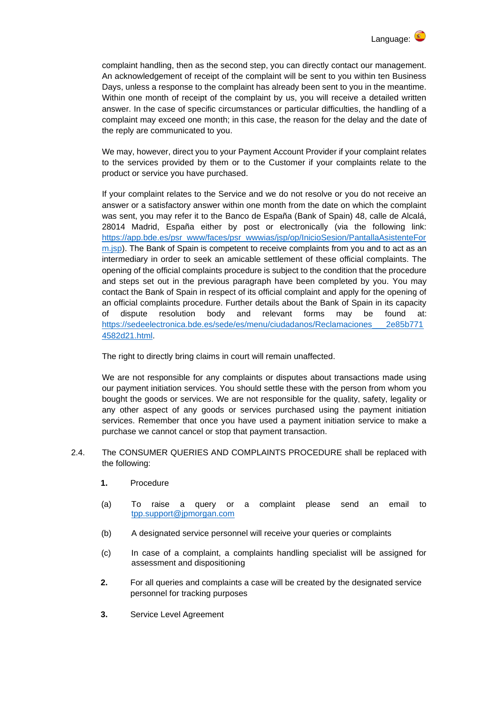

complaint handling, then as the second step, you can directly contact our management. An acknowledgement of receipt of the complaint will be sent to you within ten Business Days, unless a response to the complaint has already been sent to you in the meantime. Within one month of receipt of the complaint by us, you will receive a detailed written answer. In the case of specific circumstances or particular difficulties, the handling of a complaint may exceed one month; in this case, the reason for the delay and the date of the reply are communicated to you.

We may, however, direct you to your Payment Account Provider if your complaint relates to the services provided by them or to the Customer if your complaints relate to the product or service you have purchased.

If your complaint relates to the Service and we do not resolve or you do not receive an answer or a satisfactory answer within one month from the date on which the complaint was sent, you may refer it to the Banco de España (Bank of Spain) 48, calle de Alcalá, 28014 Madrid, España either by post or electronically (via the following link: [https://app.bde.es/psr\\_www/faces/psr\\_wwwias/jsp/op/InicioSesion/PantallaAsistenteFor](https://app.bde.es/psr_www/faces/psr_wwwias/jsp/op/InicioSesion/PantallaAsistenteForm.jsp) [m.jsp\)](https://app.bde.es/psr_www/faces/psr_wwwias/jsp/op/InicioSesion/PantallaAsistenteForm.jsp). The Bank of Spain is competent to receive complaints from you and to act as an intermediary in order to seek an amicable settlement of these official complaints. The opening of the official complaints procedure is subject to the condition that the procedure and steps set out in the previous paragraph have been completed by you. You may contact the Bank of Spain in respect of its official complaint and apply for the opening of an official complaints procedure. Further details about the Bank of Spain in its capacity of dispute resolution body and relevant forms may be found at: [https://sedeelectronica.bde.es/sede/es/menu/ciudadanos/Reclamaciones\\_\\_\\_2e85b771](https://sedeelectronica.bde.es/sede/es/menu/ciudadanos/Reclamaciones___2e85b7714582d21.html) [4582d21.html.](https://sedeelectronica.bde.es/sede/es/menu/ciudadanos/Reclamaciones___2e85b7714582d21.html)

The right to directly bring claims in court will remain unaffected.

We are not responsible for any complaints or disputes about transactions made using our payment initiation services. You should settle these with the person from whom you bought the goods or services. We are not responsible for the quality, safety, legality or any other aspect of any goods or services purchased using the payment initiation services. Remember that once you have used a payment initiation service to make a purchase we cannot cancel or stop that payment transaction.

- 2.4. The CONSUMER QUERIES AND COMPLAINTS PROCEDURE shall be replaced with the following:
	- **1.** Procedure
	- (a) To raise a query or a complaint please send an email to [tpp.support@jpmorgan.com](mailto:tpp.support@jpmorgan.com)
	- (b) A designated service personnel will receive your queries or complaints
	- (c) In case of a complaint, a complaints handling specialist will be assigned for assessment and dispositioning
	- **2.** For all queries and complaints a case will be created by the designated service personnel for tracking purposes
	- **3.** Service Level Agreement